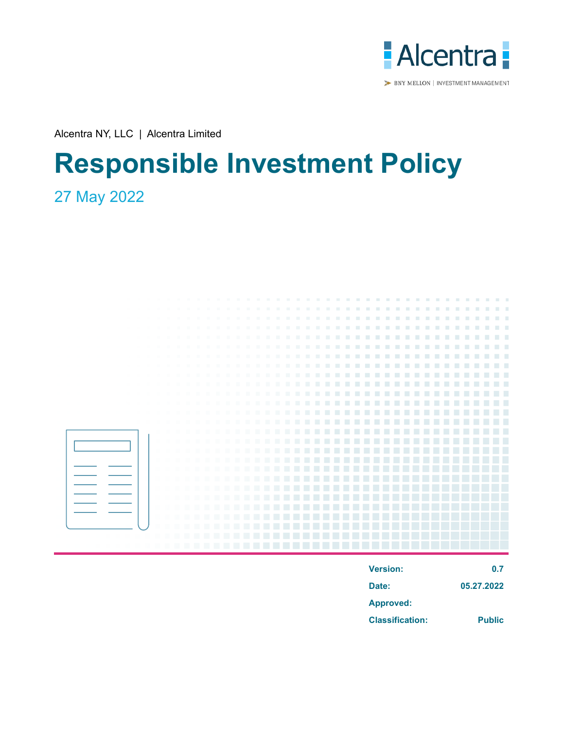

BNY MELLON | INVESTMENT MANAGEMENT

Alcentra NY, LLC | Alcentra Limited

# **Responsible Investment Policy**

# 27 May 2022



| <b>Version:</b>        | 0.7           |
|------------------------|---------------|
| Date:                  | 05.27.2022    |
| <b>Approved:</b>       |               |
| <b>Classification:</b> | <b>Public</b> |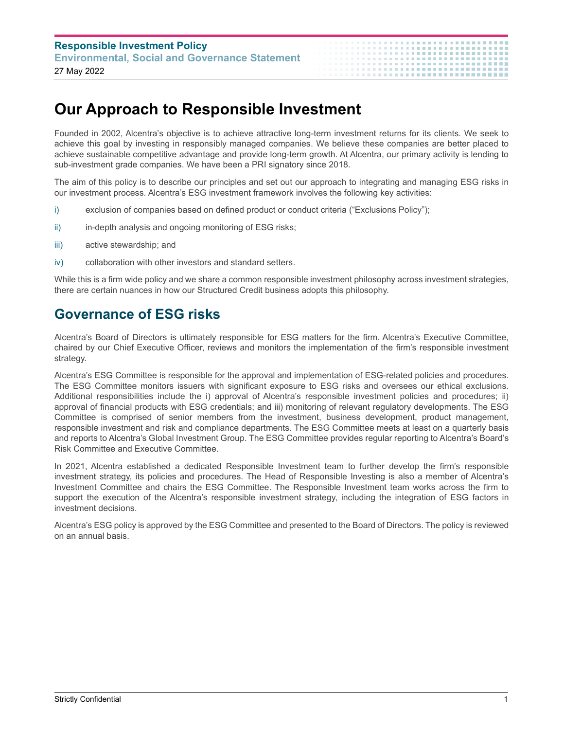## **Our Approach to Responsible Investment**

Founded in 2002, Alcentra's objective is to achieve attractive long-term investment returns for its clients. We seek to achieve this goal by investing in responsibly managed companies. We believe these companies are better placed to achieve sustainable competitive advantage and provide long-term growth. At Alcentra, our primary activity is lending to sub-investment grade companies. We have been a PRI signatory since 2018.

.................**...** 

The aim of this policy is to describe our principles and set out our approach to integrating and managing ESG risks in our investment process. Alcentra's ESG investment framework involves the following key activities:

- i) exclusion of companies based on defined product or conduct criteria ("Exclusions Policy");
- ii) in-depth analysis and ongoing monitoring of ESG risks;
- iii) active stewardship; and
- iv) collaboration with other investors and standard setters.

While this is a firm wide policy and we share a common responsible investment philosophy across investment strategies, there are certain nuances in how our Structured Credit business adopts this philosophy.

#### **Governance of ESG risks**

Alcentra's Board of Directors is ultimately responsible for ESG matters for the firm. Alcentra's Executive Committee, chaired by our Chief Executive Officer, reviews and monitors the implementation of the firm's responsible investment strategy.

Alcentra's ESG Committee is responsible for the approval and implementation of ESG-related policies and procedures. The ESG Committee monitors issuers with significant exposure to ESG risks and oversees our ethical exclusions. Additional responsibilities include the i) approval of Alcentra's responsible investment policies and procedures; ii) approval of financial products with ESG credentials; and iii) monitoring of relevant regulatory developments. The ESG Committee is comprised of senior members from the investment, business development, product management, responsible investment and risk and compliance departments. The ESG Committee meets at least on a quarterly basis and reports to Alcentra's Global Investment Group. The ESG Committee provides regular reporting to Alcentra's Board's Risk Committee and Executive Committee.

In 2021, Alcentra established a dedicated Responsible Investment team to further develop the firm's responsible investment strategy, its policies and procedures. The Head of Responsible Investing is also a member of Alcentra's Investment Committee and chairs the ESG Committee. The Responsible Investment team works across the firm to support the execution of the Alcentra's responsible investment strategy, including the integration of ESG factors in investment decisions.

Alcentra's ESG policy is approved by the ESG Committee and presented to the Board of Directors. The policy is reviewed on an annual basis.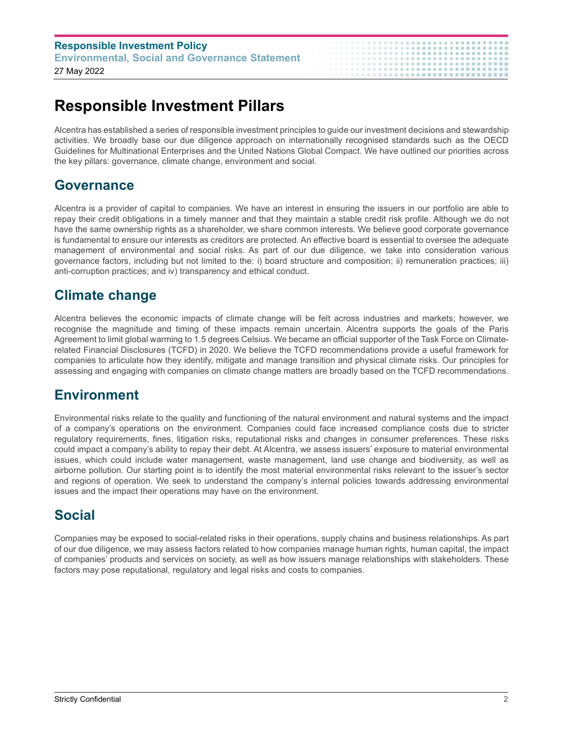| <b>Responsible Investment Policy</b>                  |  |  |
|-------------------------------------------------------|--|--|
| <b>Environmental, Social and Governance Statement</b> |  |  |
| 27 May 2022                                           |  |  |

## **Responsible Investment Pillars**

Alcentra has established a series of responsible investment principles to guide our investment decisions and stewardship activities. We broadly base our due diligence approach on internationally recognised standards such as the OECD Guidelines for Multinational Enterprises and the United Nations Global Compact. We have outlined our priorities across the key pillars: governance, climate change, environment and social.

.................**.** 

#### **Governance**

Alcentra is a provider of capital to companies. We have an interest in ensuring the issuers in our portfolio are able to repay their credit obligations in a timely manner and that they maintain a stable credit risk profile. Although we do not have the same ownership rights as a shareholder, we share common interests. We believe good corporate governance is fundamental to ensure our interests as creditors are protected. An effective board is essential to oversee the adequate management of environmental and social risks. As part of our due diligence, we take into consideration various governance factors, including but not limited to the: i) board structure and composition; ii) remuneration practices; iii) anti-corruption practices; and iv) transparency and ethical conduct.

### **Climate change**

Alcentra believes the economic impacts of climate change will be felt across industries and markets; however, we recognise the magnitude and timing of these impacts remain uncertain. Alcentra supports the goals of the Paris Agreement to limit global warming to 1.5 degrees Celsius. We became an official supporter of the Task Force on Climaterelated Financial Disclosures (TCFD) in 2020. We believe the TCFD recommendations provide a useful framework for companies to articulate how they identify, mitigate and manage transition and physical climate risks. Our principles for assessing and engaging with companies on climate change matters are broadly based on the TCFD recommendations.

### **Environment**

Environmental risks relate to the quality and functioning of the natural environment and natural systems and the impact of a company's operations on the environment. Companies could face increased compliance costs due to stricter regulatory requirements, fines, litigation risks, reputational risks and changes in consumer preferences. These risks could impact a company's ability to repay their debt. At Alcentra, we assess issuers' exposure to material environmental issues, which could include water management, waste management, land use change and biodiversity, as well as airborne pollution. Our starting point is to identify the most material environmental risks relevant to the issuer's sector and regions of operation. We seek to understand the company's internal policies towards addressing environmental issues and the impact their operations may have on the environment.

### **Social**

Companies may be exposed to social-related risks in their operations, supply chains and business relationships. As part of our due diligence, we may assess factors related to how companies manage human rights, human capital, the impact of companies' products and services on society, as well as how issuers manage relationships with stakeholders. These factors may pose reputational, regulatory and legal risks and costs to companies.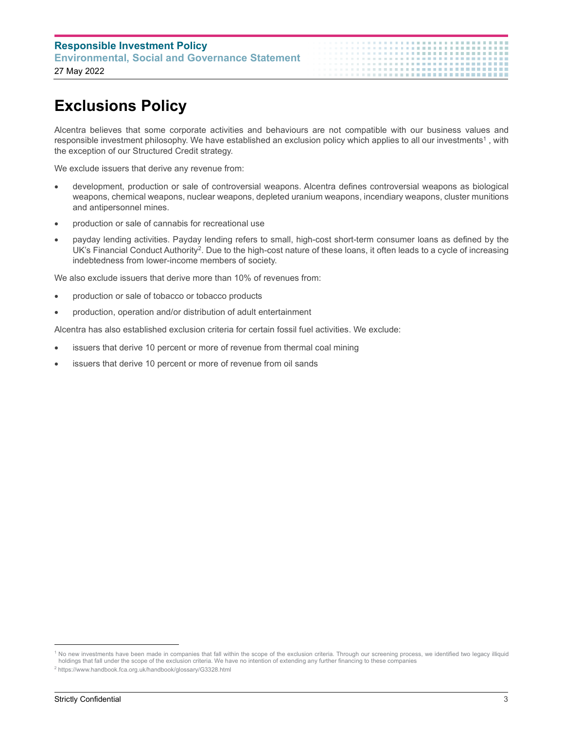# **Exclusions Policy**

Alcentra believes that some corporate activities and behaviours are not compatible with our business values and responsible investment philosophy. We have established an exclusion policy which applies to all our investments<sup>1</sup> , with the exception of our Structured Credit strategy.

.......**...............** 

We exclude issuers that derive any revenue from:

- development, production or sale of controversial weapons. Alcentra defines controversial weapons as biological weapons, chemical weapons, nuclear weapons, depleted uranium weapons, incendiary weapons, cluster munitions and antipersonnel mines.
- production or sale of cannabis for recreational use
- payday lending activities. Payday lending refers to small, high-cost short-term consumer loans as defined by the UK's Financial Conduct Authority<sup>2</sup>. Due to the high-cost nature of these loans, it often leads to a cycle of increasing indebtedness from lower-income members of society.

We also exclude issuers that derive more than 10% of revenues from:

- production or sale of tobacco or tobacco products
- production, operation and/or distribution of adult entertainment

Alcentra has also established exclusion criteria for certain fossil fuel activities. We exclude:

- issuers that derive 10 percent or more of revenue from thermal coal mining
- issuers that derive 10 percent or more of revenue from oil sands

2 https://www.handbook.fca.org.uk/handbook/glossary/G3328.html

<sup>&</sup>lt;sup>1</sup> No new investments have been made in companies that fall within the scope of the exclusion criteria. Through our screening process, we identified two legacy illiquid holdings that fall under the scope of the exclusion criteria. We have no intention of extending any further financing to these companies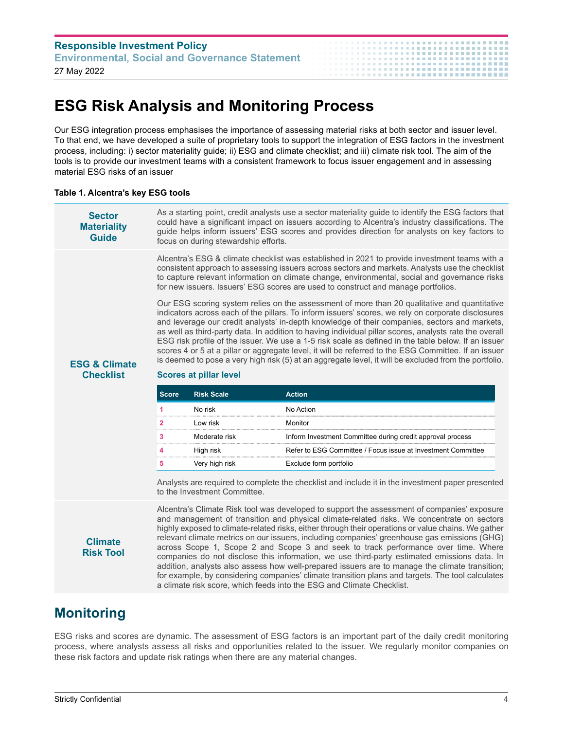| <b>Responsible Investment Policy</b>                  | . <b>.</b> |
|-------------------------------------------------------|------------|
| <b>Environmental, Social and Governance Statement</b> |            |
| 27 May 2022                                           |            |

## **ESG Risk Analysis and Monitoring Process**

Our ESG integration process emphasises the importance of assessing material risks at both sector and issuer level. To that end, we have developed a suite of proprietary tools to support the integration of ESG factors in the investment process, including: i) sector materiality guide; ii) ESG and climate checklist; and iii) climate risk tool. The aim of the tools is to provide our investment teams with a consistent framework to focus issuer engagement and in assessing material ESG risks of an issuer

#### **Table 1. Alcentra's key ESG tools**

|  | <b>Sector</b><br><b>Materiality</b><br><b>Guide</b> | As a starting point, credit analysts use a sector materiality guide to identify the ESG factors that<br>could have a significant impact on issuers according to Alcentra's industry classifications. The<br>guide helps inform issuers' ESG scores and provides direction for analysts on key factors to<br>focus on during stewardship efforts.                                                                                                                                                                                                                                                                                                                                                                                      |                               |                                                                                                                                                                                                                                                                                                                                                                                        |
|--|-----------------------------------------------------|---------------------------------------------------------------------------------------------------------------------------------------------------------------------------------------------------------------------------------------------------------------------------------------------------------------------------------------------------------------------------------------------------------------------------------------------------------------------------------------------------------------------------------------------------------------------------------------------------------------------------------------------------------------------------------------------------------------------------------------|-------------------------------|----------------------------------------------------------------------------------------------------------------------------------------------------------------------------------------------------------------------------------------------------------------------------------------------------------------------------------------------------------------------------------------|
|  |                                                     |                                                                                                                                                                                                                                                                                                                                                                                                                                                                                                                                                                                                                                                                                                                                       |                               | Alcentra's ESG & climate checklist was established in 2021 to provide investment teams with a<br>consistent approach to assessing issuers across sectors and markets. Analysts use the checklist<br>to capture relevant information on climate change, environmental, social and governance risks<br>for new issuers. Issuers' ESG scores are used to construct and manage portfolios. |
|  | <b>ESG &amp; Climate</b>                            | Our ESG scoring system relies on the assessment of more than 20 qualitative and quantitative<br>indicators across each of the pillars. To inform issuers' scores, we rely on corporate disclosures<br>and leverage our credit analysts' in-depth knowledge of their companies, sectors and markets,<br>as well as third-party data. In addition to having individual pillar scores, analysts rate the overall<br>ESG risk profile of the issuer. We use a 1-5 risk scale as defined in the table below. If an issuer<br>scores 4 or 5 at a pillar or aggregate level, it will be referred to the ESG Committee. If an issuer<br>is deemed to pose a very high risk (5) at an aggregate level, it will be excluded from the portfolio. |                               |                                                                                                                                                                                                                                                                                                                                                                                        |
|  | <b>Checklist</b>                                    |                                                                                                                                                                                                                                                                                                                                                                                                                                                                                                                                                                                                                                                                                                                                       | <b>Scores at pillar level</b> |                                                                                                                                                                                                                                                                                                                                                                                        |
|  |                                                     | <b>Score</b>                                                                                                                                                                                                                                                                                                                                                                                                                                                                                                                                                                                                                                                                                                                          | <b>Risk Scale</b>             | <b>Action</b>                                                                                                                                                                                                                                                                                                                                                                          |
|  |                                                     |                                                                                                                                                                                                                                                                                                                                                                                                                                                                                                                                                                                                                                                                                                                                       |                               |                                                                                                                                                                                                                                                                                                                                                                                        |
|  |                                                     | 1                                                                                                                                                                                                                                                                                                                                                                                                                                                                                                                                                                                                                                                                                                                                     | No risk                       | No Action                                                                                                                                                                                                                                                                                                                                                                              |
|  |                                                     | $\overline{\mathbf{2}}$                                                                                                                                                                                                                                                                                                                                                                                                                                                                                                                                                                                                                                                                                                               | Low risk                      | Monitor                                                                                                                                                                                                                                                                                                                                                                                |
|  |                                                     | 3                                                                                                                                                                                                                                                                                                                                                                                                                                                                                                                                                                                                                                                                                                                                     | Moderate risk                 | Inform Investment Committee during credit approval process                                                                                                                                                                                                                                                                                                                             |
|  |                                                     | 4                                                                                                                                                                                                                                                                                                                                                                                                                                                                                                                                                                                                                                                                                                                                     | High risk                     | Refer to ESG Committee / Focus issue at Investment Committee                                                                                                                                                                                                                                                                                                                           |
|  |                                                     | 5                                                                                                                                                                                                                                                                                                                                                                                                                                                                                                                                                                                                                                                                                                                                     | Very high risk                | Exclude form portfolio                                                                                                                                                                                                                                                                                                                                                                 |
|  |                                                     |                                                                                                                                                                                                                                                                                                                                                                                                                                                                                                                                                                                                                                                                                                                                       | to the Investment Committee.  | Analysts are required to complete the checklist and include it in the investment paper presented                                                                                                                                                                                                                                                                                       |

#### **Monitoring**

ESG risks and scores are dynamic. The assessment of ESG factors is an important part of the daily credit monitoring process, where analysts assess all risks and opportunities related to the issuer. We regularly monitor companies on these risk factors and update risk ratings when there are any material changes.

a climate risk score, which feeds into the ESG and Climate Checklist.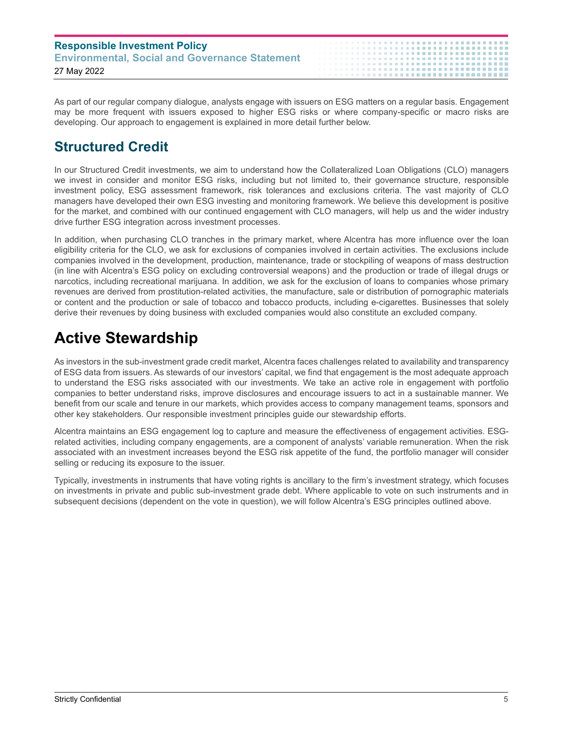| <b>Responsible Investment Policy</b>                  |  |
|-------------------------------------------------------|--|
| <b>Environmental, Social and Governance Statement</b> |  |
| 27 May 2022                                           |  |

As part of our regular company dialogue, analysts engage with issuers on ESG matters on a regular basis. Engagement may be more frequent with issuers exposed to higher ESG risks or where company-specific or macro risks are developing. Our approach to engagement is explained in more detail further below.

## **Structured Credit**

In our Structured Credit investments, we aim to understand how the Collateralized Loan Obligations (CLO) managers we invest in consider and monitor ESG risks, including but not limited to, their governance structure, responsible investment policy, ESG assessment framework, risk tolerances and exclusions criteria. The vast majority of CLO managers have developed their own ESG investing and monitoring framework. We believe this development is positive for the market, and combined with our continued engagement with CLO managers, will help us and the wider industry drive further ESG integration across investment processes.

In addition, when purchasing CLO tranches in the primary market, where Alcentra has more influence over the loan eligibility criteria for the CLO, we ask for exclusions of companies involved in certain activities. The exclusions include companies involved in the development, production, maintenance, trade or stockpiling of weapons of mass destruction (in line with Alcentra's ESG policy on excluding controversial weapons) and the production or trade of illegal drugs or narcotics, including recreational marijuana. In addition, we ask for the exclusion of loans to companies whose primary revenues are derived from prostitution-related activities, the manufacture, sale or distribution of pornographic materials or content and the production or sale of tobacco and tobacco products, including e-cigarettes. Businesses that solely derive their revenues by doing business with excluded companies would also constitute an excluded company.

## **Active Stewardship**

As investors in the sub-investment grade credit market, Alcentra faces challenges related to availability and transparency of ESG data from issuers. As stewards of our investors' capital, we find that engagement is the most adequate approach to understand the ESG risks associated with our investments. We take an active role in engagement with portfolio companies to better understand risks, improve disclosures and encourage issuers to act in a sustainable manner. We benefit from our scale and tenure in our markets, which provides access to company management teams, sponsors and other key stakeholders. Our responsible investment principles guide our stewardship efforts.

Alcentra maintains an ESG engagement log to capture and measure the effectiveness of engagement activities. ESGrelated activities, including company engagements, are a component of analysts' variable remuneration. When the risk associated with an investment increases beyond the ESG risk appetite of the fund, the portfolio manager will consider selling or reducing its exposure to the issuer.

Typically, investments in instruments that have voting rights is ancillary to the firm's investment strategy, which focuses on investments in private and public sub-investment grade debt. Where applicable to vote on such instruments and in subsequent decisions (dependent on the vote in question), we will follow Alcentra's ESG principles outlined above.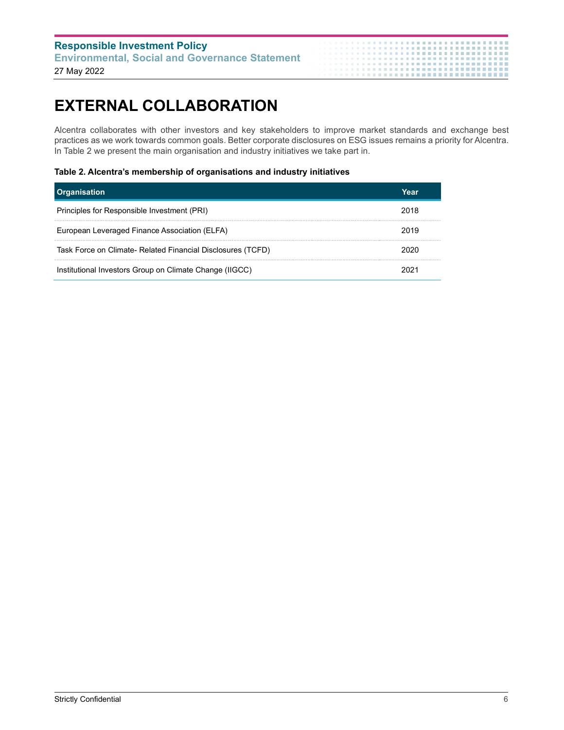| <b>Responsible Investment Policy</b>                  | . <b>.</b>                 |
|-------------------------------------------------------|----------------------------|
| <b>Environmental, Social and Governance Statement</b> | . <b>.</b><br>. <b>.</b> . |
| 27 May 2022                                           |                            |

# **EXTERNAL COLLABORATION**

Alcentra collaborates with other investors and key stakeholders to improve market standards and exchange best practices as we work towards common goals. Better corporate disclosures on ESG issues remains a priority for Alcentra. In Table 2 we present the main organisation and industry initiatives we take part in.

 $\mathbf{m}$  $\blacksquare$   $\bar{\bar{a}}$  $\mathbf{H}^{\prime}$  .

. . . . . . . . . . . . . . . . .................

#### **Table 2. Alcentra's membership of organisations and industry initiatives**

| <b>Organisation</b>                                         | Year |
|-------------------------------------------------------------|------|
| Principles for Responsible Investment (PRI)                 | 2018 |
| European Leveraged Finance Association (ELFA)               | 2019 |
| Task Force on Climate- Related Financial Disclosures (TCFD) | 2020 |
| Institutional Investors Group on Climate Change (IIGCC)     |      |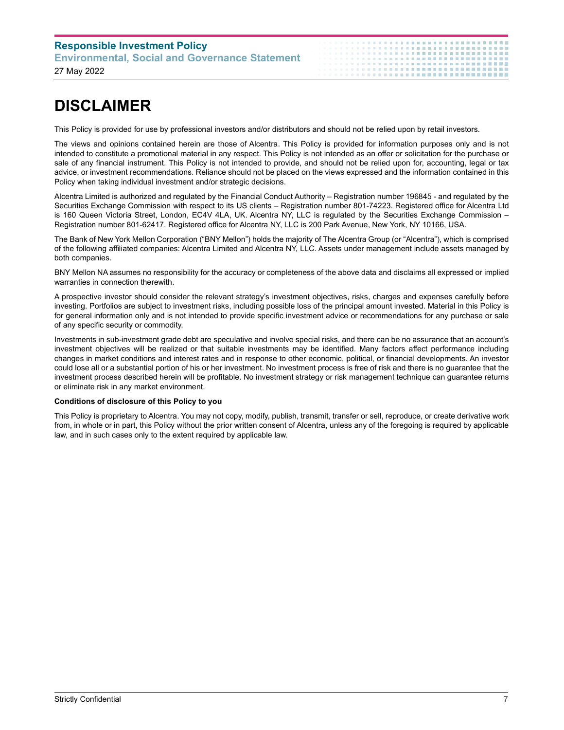## **Responsible Investment Policy Environmental, Social and Governance Statement**

27 May 2022

## **DISCLAIMER**

This Policy is provided for use by professional investors and/or distributors and should not be relied upon by retail investors.

The views and opinions contained herein are those of Alcentra. This Policy is provided for information purposes only and is not intended to constitute a promotional material in any respect. This Policy is not intended as an offer or solicitation for the purchase or sale of any financial instrument. This Policy is not intended to provide, and should not be relied upon for, accounting, legal or tax advice, or investment recommendations. Reliance should not be placed on the views expressed and the information contained in this Policy when taking individual investment and/or strategic decisions.

Alcentra Limited is authorized and regulated by the Financial Conduct Authority – Registration number 196845 - and regulated by the Securities Exchange Commission with respect to its US clients – Registration number 801-74223. Registered office for Alcentra Ltd is 160 Queen Victoria Street, London, EC4V 4LA, UK. Alcentra NY, LLC is regulated by the Securities Exchange Commission – Registration number 801-62417. Registered office for Alcentra NY, LLC is 200 Park Avenue, New York, NY 10166, USA.

The Bank of New York Mellon Corporation ("BNY Mellon") holds the majority of The Alcentra Group (or "Alcentra"), which is comprised of the following affiliated companies: Alcentra Limited and Alcentra NY, LLC. Assets under management include assets managed by both companies.

BNY Mellon NA assumes no responsibility for the accuracy or completeness of the above data and disclaims all expressed or implied warranties in connection therewith.

A prospective investor should consider the relevant strategy's investment objectives, risks, charges and expenses carefully before investing. Portfolios are subject to investment risks, including possible loss of the principal amount invested. Material in this Policy is for general information only and is not intended to provide specific investment advice or recommendations for any purchase or sale of any specific security or commodity.

Investments in sub-investment grade debt are speculative and involve special risks, and there can be no assurance that an account's investment objectives will be realized or that suitable investments may be identified. Many factors affect performance including changes in market conditions and interest rates and in response to other economic, political, or financial developments. An investor could lose all or a substantial portion of his or her investment. No investment process is free of risk and there is no guarantee that the investment process described herein will be profitable. No investment strategy or risk management technique can guarantee returns or eliminate risk in any market environment.

#### **Conditions of disclosure of this Policy to you**

This Policy is proprietary to Alcentra. You may not copy, modify, publish, transmit, transfer or sell, reproduce, or create derivative work from, in whole or in part, this Policy without the prior written consent of Alcentra, unless any of the foregoing is required by applicable law, and in such cases only to the extent required by applicable law.

..................**..**.